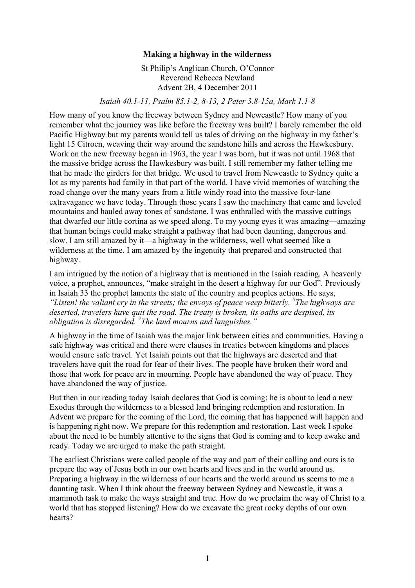## **Making a highway in the wilderness**

St Philip's Anglican Church, O'Connor Reverend Rebecca Newland Advent 2B, 4 December 2011

*Isaiah 40.1-11, Psalm 85.1-2, 8-13, 2 Peter 3.8-15a, Mark 1.1-8*

How many of you know the freeway between Sydney and Newcastle? How many of you remember what the journey was like before the freeway was built? I barely remember the old Pacific Highway but my parents would tell us tales of driving on the highway in my father's light 15 Citroen, weaving their way around the sandstone hills and across the Hawkesbury. Work on the new freeway began in 1963, the year I was born, but it was not until 1968 that the massive bridge across the Hawkesbury was built. I still remember my father telling me that he made the girders for that bridge. We used to travel from Newcastle to Sydney quite a lot as my parents had family in that part of the world. I have vivid memories of watching the road change over the many years from a little windy road into the massive four-lane extravagance we have today. Through those years I saw the machinery that came and leveled mountains and hauled away tones of sandstone. I was enthralled with the massive cuttings that dwarfed our little cortina as we speed along. To my young eyes it was amazing—amazing that human beings could make straight a pathway that had been daunting, dangerous and slow. I am still amazed by it—a highway in the wilderness, well what seemed like a wilderness at the time. I am amazed by the ingenuity that prepared and constructed that highway.

I am intrigued by the notion of a highway that is mentioned in the Isaiah reading. A heavenly voice, a prophet, announces, "make straight in the desert a highway for our God". Previously in Isaiah 33 the prophet laments the state of the country and peoples actions. He says, "Listen! the valiant cry in the streets; the envoys of peace weep bitterly. <sup>8</sup>The highways are *deserted, travelers have quit the road. The treaty is broken, its oaths are despised, its obligation is disregarded. <sup>9</sup> The land mourns and languishes."* 

A highway in the time of Isaiah was the major link between cities and communities. Having a safe highway was critical and there were clauses in treaties between kingdoms and places would ensure safe travel. Yet Isaiah points out that the highways are deserted and that travelers have quit the road for fear of their lives. The people have broken their word and those that work for peace are in mourning. People have abandoned the way of peace. They have abandoned the way of justice.

But then in our reading today Isaiah declares that God is coming; he is about to lead a new Exodus through the wilderness to a blessed land bringing redemption and restoration. In Advent we prepare for the coming of the Lord, the coming that has happened will happen and is happening right now. We prepare for this redemption and restoration. Last week I spoke about the need to be humbly attentive to the signs that God is coming and to keep awake and ready. Today we are urged to make the path straight.

The earliest Christians were called people of the way and part of their calling and ours is to prepare the way of Jesus both in our own hearts and lives and in the world around us. Preparing a highway in the wilderness of our hearts and the world around us seems to me a daunting task. When I think about the freeway between Sydney and Newcastle, it was a mammoth task to make the ways straight and true. How do we proclaim the way of Christ to a world that has stopped listening? How do we excavate the great rocky depths of our own hearts?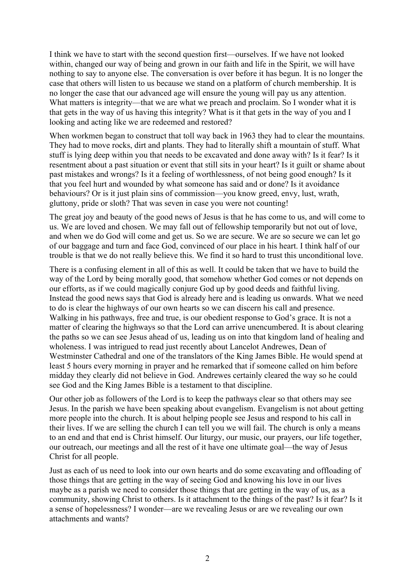I think we have to start with the second question first—ourselves. If we have not looked within, changed our way of being and grown in our faith and life in the Spirit, we will have nothing to say to anyone else. The conversation is over before it has begun. It is no longer the case that others will listen to us because we stand on a platform of church membership. It is no longer the case that our advanced age will ensure the young will pay us any attention. What matters is integrity—that we are what we preach and proclaim. So I wonder what it is that gets in the way of us having this integrity? What is it that gets in the way of you and I looking and acting like we are redeemed and restored?

When workmen began to construct that toll way back in 1963 they had to clear the mountains. They had to move rocks, dirt and plants. They had to literally shift a mountain of stuff. What stuff is lying deep within you that needs to be excavated and done away with? Is it fear? Is it resentment about a past situation or event that still sits in your heart? Is it guilt or shame about past mistakes and wrongs? Is it a feeling of worthlessness, of not being good enough? Is it that you feel hurt and wounded by what someone has said and or done? Is it avoidance behaviours? Or is it just plain sins of commission—you know greed, envy, lust, wrath, gluttony, pride or sloth? That was seven in case you were not counting!

The great joy and beauty of the good news of Jesus is that he has come to us, and will come to us. We are loved and chosen. We may fall out of fellowship temporarily but not out of love, and when we do God will come and get us. So we are secure. We are so secure we can let go of our baggage and turn and face God, convinced of our place in his heart. I think half of our trouble is that we do not really believe this. We find it so hard to trust this unconditional love.

There is a confusing element in all of this as well. It could be taken that we have to build the way of the Lord by being morally good, that somehow whether God comes or not depends on our efforts, as if we could magically conjure God up by good deeds and faithful living. Instead the good news says that God is already here and is leading us onwards. What we need to do is clear the highways of our own hearts so we can discern his call and presence. Walking in his pathways, free and true, is our obedient response to God's grace. It is not a matter of clearing the highways so that the Lord can arrive unencumbered. It is about clearing the paths so we can see Jesus ahead of us, leading us on into that kingdom land of healing and wholeness. I was intrigued to read just recently about Lancelot Andrewes, Dean of Westminster Cathedral and one of the translators of the King James Bible. He would spend at least 5 hours every morning in prayer and he remarked that if someone called on him before midday they clearly did not believe in God. Andrewes certainly cleared the way so he could see God and the King James Bible is a testament to that discipline.

Our other job as followers of the Lord is to keep the pathways clear so that others may see Jesus. In the parish we have been speaking about evangelism. Evangelism is not about getting more people into the church. It is about helping people see Jesus and respond to his call in their lives. If we are selling the church I can tell you we will fail. The church is only a means to an end and that end is Christ himself. Our liturgy, our music, our prayers, our life together, our outreach, our meetings and all the rest of it have one ultimate goal—the way of Jesus Christ for all people.

Just as each of us need to look into our own hearts and do some excavating and offloading of those things that are getting in the way of seeing God and knowing his love in our lives maybe as a parish we need to consider those things that are getting in the way of us, as a community, showing Christ to others. Is it attachment to the things of the past? Is it fear? Is it a sense of hopelessness? I wonder—are we revealing Jesus or are we revealing our own attachments and wants?